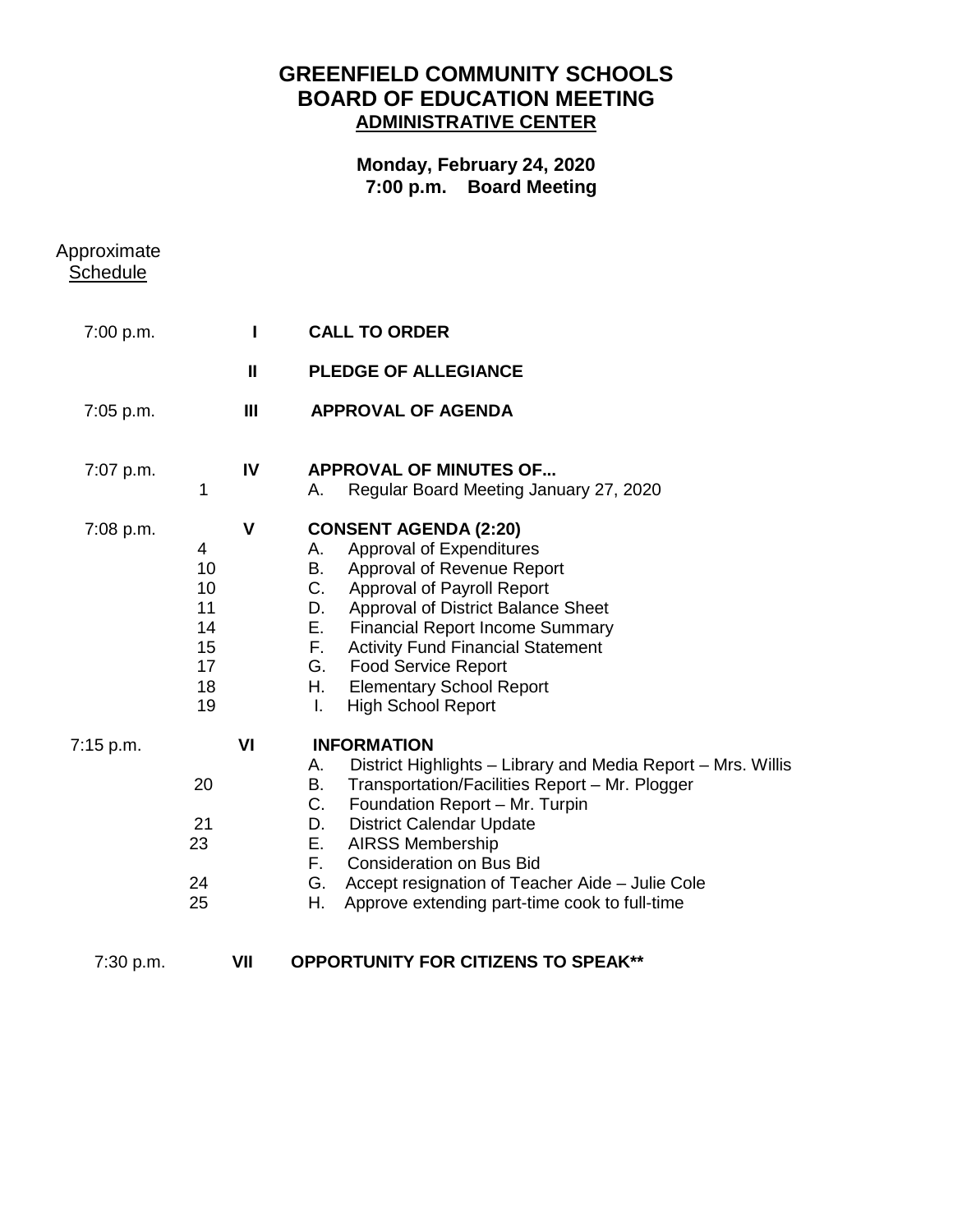## **GREENFIELD COMMUNITY SCHOOLS BOARD OF EDUCATION MEETING ADMINISTRATIVE CENTER**

## **Monday, February 24, 2020 7:00 p.m. Board Meeting**

| Approximate<br><b>Schedule</b> |                                                   |                |                                                                                                                                                                                                                                                                                                                                                                                                                          |
|--------------------------------|---------------------------------------------------|----------------|--------------------------------------------------------------------------------------------------------------------------------------------------------------------------------------------------------------------------------------------------------------------------------------------------------------------------------------------------------------------------------------------------------------------------|
| 7:00 p.m.                      |                                                   | $\mathbf{I}$   | <b>CALL TO ORDER</b>                                                                                                                                                                                                                                                                                                                                                                                                     |
|                                |                                                   | $\mathbf{I}$   | <b>PLEDGE OF ALLEGIANCE</b>                                                                                                                                                                                                                                                                                                                                                                                              |
| 7:05 p.m.                      |                                                   | $\mathbf{III}$ | <b>APPROVAL OF AGENDA</b>                                                                                                                                                                                                                                                                                                                                                                                                |
| 7:07 p.m.                      | 1                                                 | IV             | <b>APPROVAL OF MINUTES OF</b><br>Regular Board Meeting January 27, 2020<br>А.                                                                                                                                                                                                                                                                                                                                            |
| 7:08 p.m.                      | 4<br>10<br>10<br>11<br>14<br>15<br>17<br>18<br>19 | $\mathbf{V}$   | <b>CONSENT AGENDA (2:20)</b><br>Approval of Expenditures<br>А.<br>Approval of Revenue Report<br>В.<br>C.<br><b>Approval of Payroll Report</b><br>D.<br>Approval of District Balance Sheet<br>Е.<br><b>Financial Report Income Summary</b><br>F.<br><b>Activity Fund Financial Statement</b><br><b>Food Service Report</b><br>G.<br>Η.<br><b>Elementary School Report</b><br>I.<br><b>High School Report</b>              |
| 7:15 p.m.                      | 20<br>21<br>23<br>24<br>25                        | VI             | <b>INFORMATION</b><br>District Highlights - Library and Media Report - Mrs. Willis<br>А.<br>В.<br>Transportation/Facilities Report - Mr. Plogger<br>C.<br>Foundation Report - Mr. Turpin<br><b>District Calendar Update</b><br>D.<br>Е.<br><b>AIRSS Membership</b><br>F.<br><b>Consideration on Bus Bid</b><br>G. Accept resignation of Teacher Aide - Julie Cole<br>Η.<br>Approve extending part-time cook to full-time |
| 7:30 p.m.                      |                                                   | VII            | <b>OPPORTUNITY FOR CITIZENS TO SPEAK**</b>                                                                                                                                                                                                                                                                                                                                                                               |